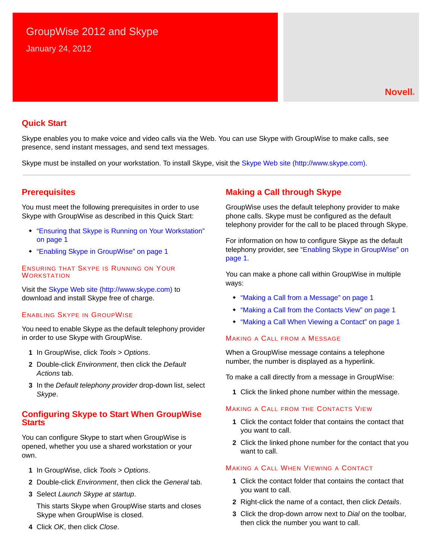# GroupWise 2012 and Skype

January 24, 2012

## **Quick Start**

Skype enables you to make voice and video calls via the Web. You can use Skype with GroupWise to make calls, see presence, send instant messages, and send text messages.

Skype must be installed on your workstation. To install Skype, visit the [Skype Web site](http://www.skype.com) (http://www.skype.com).

## <span id="page-0-5"></span>**Prerequisites**

You must meet the following prerequisites in order to use Skype with GroupWise as described in this Quick Start:

- ["Ensuring that Skype is Running on Your Workstation"](#page-0-3)  [on page 1](#page-0-3)
- ["Enabling Skype in GroupWise" on page 1](#page-0-4)

<span id="page-0-3"></span>ENSURING THAT SKYPE IS RUNNING ON YOUR **WORKSTATION** 

Visit the [Skype Web site](http://www.skype.com) (http://www.skype.com) to download and install Skype free of charge.

#### <span id="page-0-4"></span>ENABLING SKYPE IN GROUPWISE

You need to enable Skype as the default telephony provider in order to use Skype with GroupWise.

- **1** In GroupWise, click *Tools* > *Options*.
- **2** Double-click *Environment*, then click the *Default Actions* tab.
- **3** In the *Default telephony provider* drop-down list, select *Skype*.

### **Configuring Skype to Start When GroupWise Starts**

You can configure Skype to start when GroupWise is opened, whether you use a shared workstation or your own.

- **1** In GroupWise, click *Tools* > *Options*.
- **2** Double-click *Environment*, then click the *General* tab.
- **3** Select *Launch Skype at startup*.

This starts Skype when GroupWise starts and closes Skype when GroupWise is closed.

**4** Click *OK*, then click *Close*.

## **Making a Call through Skype**

GroupWise uses the default telephony provider to make phone calls. Skype must be configured as the default telephony provider for the call to be placed through Skype.

For information on how to configure Skype as the default telephony provider, see ["Enabling Skype in GroupWise" on](#page-0-4)  [page 1](#page-0-4).

You can make a phone call within GroupWise in multiple ways:

- ["Making a Call from a Message" on page 1](#page-0-0)
- ["Making a Call from the Contacts View" on page 1](#page-0-1)
- ["Making a Call When Viewing a Contact" on page 1](#page-0-2)

#### <span id="page-0-0"></span>MAKING A CALL FROM A MESSAGE

When a GroupWise message contains a telephone number, the number is displayed as a hyperlink.

To make a call directly from a message in GroupWise:

**1** Click the linked phone number within the message.

#### <span id="page-0-1"></span>MAKING A CALL FROM THE CONTACTS VIEW

- **1** Click the contact folder that contains the contact that you want to call.
- **2** Click the linked phone number for the contact that you want to call.

#### <span id="page-0-2"></span>MAKING A CALL WHEN VIEWING A CONTACT

- **1** Click the contact folder that contains the contact that you want to call.
- **2** Right-click the name of a contact, then click *Details*.
- **3** Click the drop-down arrow next to *Dial* on the toolbar, then click the number you want to call.